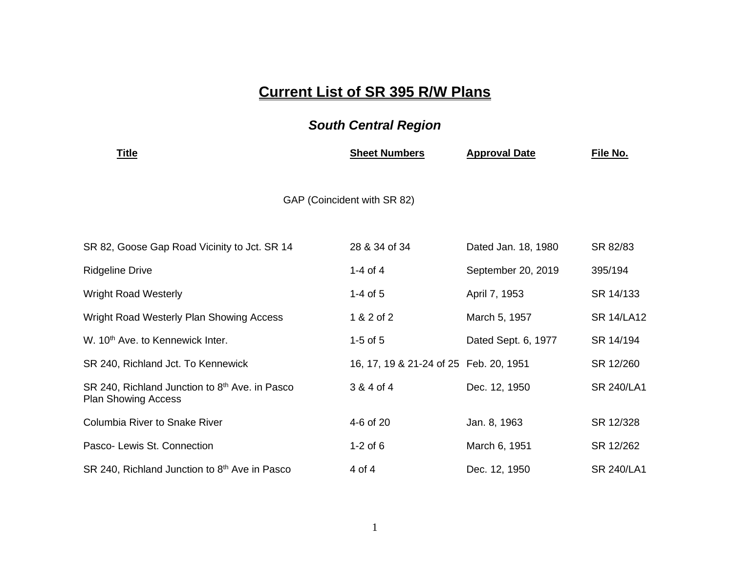## **Current List of SR 395 R/W Plans**

## *South Central Region*

| <u>Title</u>                                                                             | <b>Sheet Numbers</b>                   | <b>Approval Date</b> | File No.          |  |
|------------------------------------------------------------------------------------------|----------------------------------------|----------------------|-------------------|--|
| GAP (Coincident with SR 82)                                                              |                                        |                      |                   |  |
| SR 82, Goose Gap Road Vicinity to Jct. SR 14                                             | 28 & 34 of 34                          | Dated Jan. 18, 1980  | SR 82/83          |  |
| <b>Ridgeline Drive</b>                                                                   | 1-4 of 4                               | September 20, 2019   | 395/194           |  |
| <b>Wright Road Westerly</b>                                                              | $1-4$ of 5                             | April 7, 1953        | SR 14/133         |  |
| Wright Road Westerly Plan Showing Access                                                 | 1 & 2 of 2                             | March 5, 1957        | <b>SR 14/LA12</b> |  |
| W. 10 <sup>th</sup> Ave. to Kennewick Inter.                                             | $1-5$ of $5$                           | Dated Sept. 6, 1977  | SR 14/194         |  |
| SR 240, Richland Jct. To Kennewick                                                       | 16, 17, 19 & 21-24 of 25 Feb. 20, 1951 |                      | SR 12/260         |  |
| SR 240, Richland Junction to 8 <sup>th</sup> Ave. in Pasco<br><b>Plan Showing Access</b> | 3 & 4 of 4                             | Dec. 12, 1950        | <b>SR 240/LA1</b> |  |
| Columbia River to Snake River                                                            | 4-6 of 20                              | Jan. 8, 1963         | SR 12/328         |  |
| Pasco- Lewis St. Connection                                                              | $1-2$ of 6                             | March 6, 1951        | SR 12/262         |  |
| SR 240, Richland Junction to 8 <sup>th</sup> Ave in Pasco                                | 4 of 4                                 | Dec. 12, 1950        | <b>SR 240/LA1</b> |  |